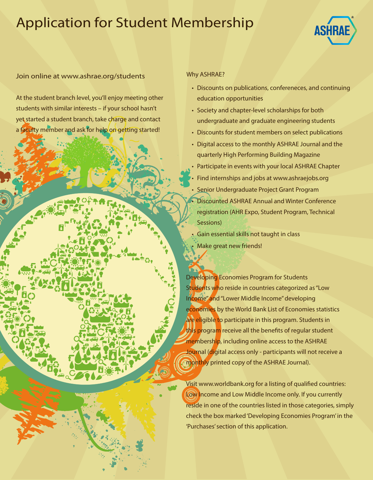## Application for Student Membership



## Join online at www.ashrae.org/students

At the student branch level, you'll enjoy meeting other students with similar interests – if your school hasn't yet started a student branch, take charge and contact a faculty member and ask for help on getting started!

## Why ASHRAE?

- Discounts on publications, confereneces, and continuing education opportunities
- Society and chapter-level scholarships for both undergraduate and graduate engineering students
- Discounts for student members on select publications
- Digital access to the monthly ASHRAE Journal and the quarterly High Performing Building Magazine
- Participate in events with your local ASHRAE Chapter • Find internships and jobs at www.ashraejobs.org • Senior Undergraduate Project Grant Program • Discounted ASHRAE Annual and Winter Conference registration (AHR Expo, Student Program, Technical Sessions)
- Gain essential skills not taught in class Make great new friends!

Developing Economies Program for Students Students who reside in countries categorized as "Low Income" and "Lower Middle Income" developing economies by the World Bank List of Economies statistics are eligible to participate in this program. Students in this program receive all the benefits of regular student membership, including online access to the ASHRAE Journal (digital access only - participants will not receive a monthly printed copy of the ASHRAE Journal).

Visit www.worldbank.org for a listing of qualified countries: Low Income and Low Middle Income only. If you currently reside in one of the countries listed in those categories, simply check the box marked 'Developing Economies Program' in the 'Purchases' section of this application.